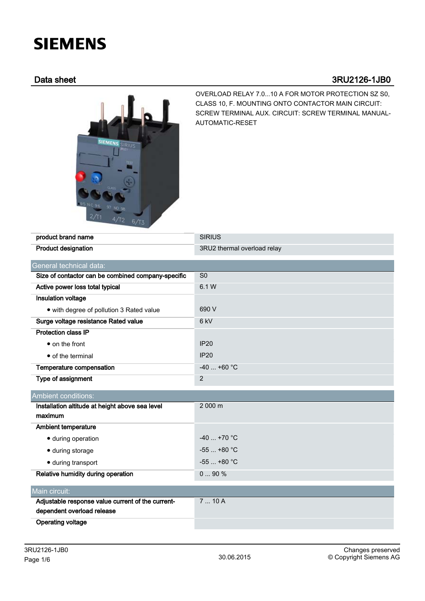# **SIEMENS**

# Data sheet 3RU2126-1JB0



OVERLOAD RELAY 7.0...10 A FOR MOTOR PROTECTION SZ S0, CLASS 10, F. MOUNTING ONTO CONTACTOR MAIN CIRCUIT: SCREW TERMINAL AUX. CIRCUIT: SCREW TERMINAL MANUAL-AUTOMATIC-RESET

| product brand name                                 | <b>SIRIUS</b>               |  |  |  |
|----------------------------------------------------|-----------------------------|--|--|--|
| <b>Product designation</b>                         | 3RU2 thermal overload relay |  |  |  |
| General technical data:                            |                             |  |  |  |
| Size of contactor can be combined company-specific | S <sub>0</sub>              |  |  |  |
| Active power loss total typical                    | 6.1 W                       |  |  |  |
| Insulation voltage                                 |                             |  |  |  |
| • with degree of pollution 3 Rated value           | 690 V                       |  |  |  |
| Surge voltage resistance Rated value               | 6 kV                        |  |  |  |
| <b>Protection class IP</b>                         |                             |  |  |  |
| • on the front                                     | <b>IP20</b>                 |  |  |  |
| • of the terminal                                  | <b>IP20</b>                 |  |  |  |
| Temperature compensation                           | $-40$ +60 °C                |  |  |  |
| Type of assignment                                 | $\overline{2}$              |  |  |  |
| <b>Ambient conditions:</b>                         |                             |  |  |  |
| Installation altitude at height above sea level    | 2 000 m                     |  |  |  |
| maximum                                            |                             |  |  |  |
| <b>Ambient temperature</b>                         |                             |  |  |  |
| · during operation                                 | $-40+70$ °C                 |  |  |  |
| · during storage                                   | $-55+80 °C$                 |  |  |  |
| · during transport                                 | $-55$ $+80$ °C              |  |  |  |
| Relative humidity during operation                 | 090%                        |  |  |  |
| Main circuit:                                      |                             |  |  |  |
| Adjustable response value current of the current-  | 710A                        |  |  |  |
| dependent overload release                         |                             |  |  |  |
| <b>Operating voltage</b>                           |                             |  |  |  |
|                                                    |                             |  |  |  |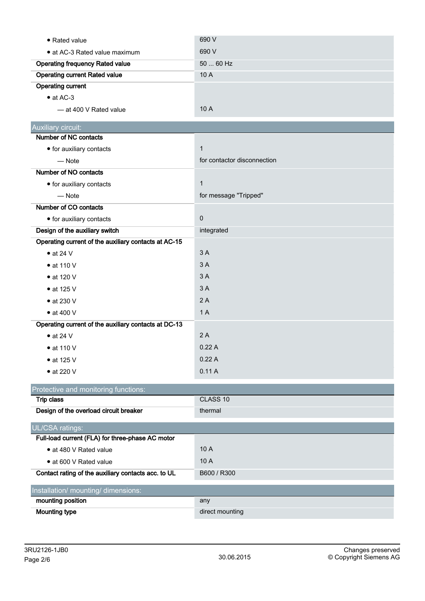| • Rated value                                        | 690 V                       |  |  |  |
|------------------------------------------------------|-----------------------------|--|--|--|
| • at AC-3 Rated value maximum                        | 690 V                       |  |  |  |
| <b>Operating frequency Rated value</b>               | 50  60 Hz                   |  |  |  |
| <b>Operating current Rated value</b>                 | 10 A                        |  |  |  |
| <b>Operating current</b>                             |                             |  |  |  |
| $\bullet$ at AC-3                                    |                             |  |  |  |
| - at 400 V Rated value                               | 10 A                        |  |  |  |
| Auxiliary circuit:                                   |                             |  |  |  |
| Number of NC contacts                                |                             |  |  |  |
| • for auxiliary contacts                             | $\mathbf{1}$                |  |  |  |
| $-$ Note                                             | for contactor disconnection |  |  |  |
| Number of NO contacts                                |                             |  |  |  |
| • for auxiliary contacts                             | $\mathbf{1}$                |  |  |  |
| $-$ Note                                             | for message "Tripped"       |  |  |  |
| Number of CO contacts                                |                             |  |  |  |
| • for auxiliary contacts                             | $\pmb{0}$                   |  |  |  |
| Design of the auxiliary switch                       | integrated                  |  |  |  |
| Operating current of the auxiliary contacts at AC-15 |                             |  |  |  |
| $\bullet$ at 24 V                                    | 3A                          |  |  |  |
| $\bullet$ at 110 V                                   | 3A                          |  |  |  |
| • at 120 V                                           | 3A                          |  |  |  |
| $\bullet$ at 125 V                                   | 3A                          |  |  |  |
| $\bullet$ at 230 V                                   | 2A                          |  |  |  |
| $\bullet$ at 400 V                                   | 1A                          |  |  |  |
| Operating current of the auxiliary contacts at DC-13 |                             |  |  |  |
| $\bullet$ at 24 V                                    | 2A                          |  |  |  |
| $\bullet$ at 110 V                                   | 0.22A                       |  |  |  |
| $\bullet$ at 125 V                                   | 0.22A                       |  |  |  |
| $\bullet$ at 220 V                                   | 0.11A                       |  |  |  |
| Protective and monitoring functions:                 |                             |  |  |  |
| <b>Trip class</b>                                    | CLASS 10                    |  |  |  |
| Design of the overload circuit breaker               | thermal                     |  |  |  |
| UL/CSA ratings:                                      |                             |  |  |  |
| Full-load current (FLA) for three-phase AC motor     |                             |  |  |  |
| • at 480 V Rated value                               | 10 A                        |  |  |  |
| • at 600 V Rated value                               | 10 A                        |  |  |  |
| Contact rating of the auxiliary contacts acc. to UL  | B600 / R300                 |  |  |  |
| Installation/ mounting/ dimensions:                  |                             |  |  |  |
| mounting position                                    | any                         |  |  |  |
| <b>Mounting type</b>                                 | direct mounting             |  |  |  |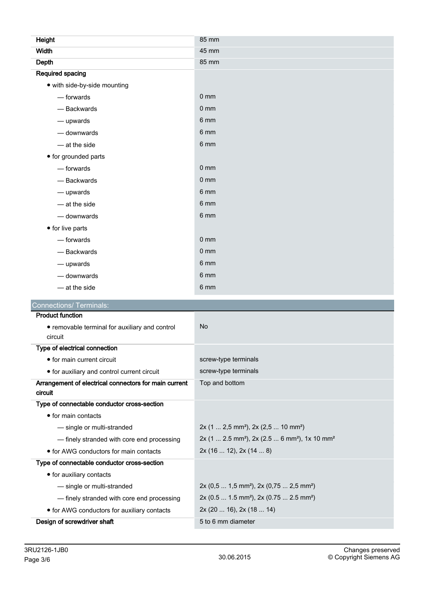| Height                                                    | 85 mm                |  |  |
|-----------------------------------------------------------|----------------------|--|--|
| <b>Width</b>                                              | 45 mm                |  |  |
| Depth                                                     | 85 mm                |  |  |
| <b>Required spacing</b>                                   |                      |  |  |
| • with side-by-side mounting                              |                      |  |  |
| — forwards                                                | $0 \text{ mm}$       |  |  |
| - Backwards                                               | 0 <sub>mm</sub>      |  |  |
| - upwards                                                 | 6 mm                 |  |  |
| - downwards                                               | 6 mm                 |  |  |
| - at the side                                             | 6 mm                 |  |  |
| • for grounded parts                                      |                      |  |  |
| - forwards                                                | 0 <sub>mm</sub>      |  |  |
| - Backwards                                               | 0 <sub>mm</sub>      |  |  |
| - upwards                                                 | 6 mm                 |  |  |
| - at the side                                             | 6 mm                 |  |  |
| - downwards                                               | 6 mm                 |  |  |
| • for live parts                                          |                      |  |  |
| — forwards                                                | 0 <sub>mm</sub>      |  |  |
| - Backwards                                               | $0 \text{ mm}$       |  |  |
| - upwards                                                 | 6 mm                 |  |  |
| - downwards                                               | 6 mm                 |  |  |
| $-$ at the side                                           | 6 mm                 |  |  |
| <b>Connections/ Terminals:</b>                            |                      |  |  |
| <b>Product function</b>                                   |                      |  |  |
| • removable terminal for auxiliary and control<br>circuit | <b>No</b>            |  |  |
| Type of electrical connection                             |                      |  |  |
| • for main current circuit                                | screw-type terminals |  |  |

| • for auxiliary and control current circuit                      | screw-type terminals                                                                  |  |  |
|------------------------------------------------------------------|---------------------------------------------------------------------------------------|--|--|
| Arrangement of electrical connectors for main current<br>circuit | Top and bottom                                                                        |  |  |
| Type of connectable conductor cross-section                      |                                                                                       |  |  |
| $\bullet$ for main contacts                                      |                                                                                       |  |  |
| - single or multi-stranded                                       | $2x$ (1  2,5 mm <sup>2</sup> ), 2x (2,5  10 mm <sup>2</sup> )                         |  |  |
| - finely stranded with core end processing                       | $2x$ (1  2.5 mm <sup>2</sup> ), $2x$ (2.5  6 mm <sup>2</sup> ), 1x 10 mm <sup>2</sup> |  |  |
| $\bullet$ for AWG conductors for main contacts                   | 2x(1612), 2x(148)                                                                     |  |  |
| Type of connectable conductor cross-section                      |                                                                                       |  |  |
| • for auxiliary contacts                                         |                                                                                       |  |  |
| - single or multi-stranded                                       | $2x (0,5  1,5 mm2)$ , $2x (0,75  2,5 mm2)$                                            |  |  |
| - finely stranded with core end processing                       | $2x (0.5  1.5 mm2)$ , $2x (0.75  2.5 mm2)$                                            |  |  |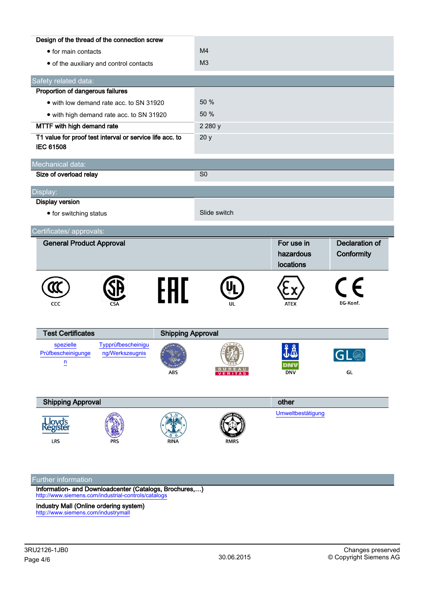| Design of the thread of the connection screw                                 |                                          |             |                |                                      |                                     |  |
|------------------------------------------------------------------------------|------------------------------------------|-------------|----------------|--------------------------------------|-------------------------------------|--|
| • for main contacts                                                          |                                          |             | M <sub>4</sub> |                                      |                                     |  |
|                                                                              | • of the auxiliary and control contacts  |             | M <sub>3</sub> |                                      |                                     |  |
| Safety related data:                                                         |                                          |             |                |                                      |                                     |  |
| Proportion of dangerous failures                                             |                                          |             |                |                                      |                                     |  |
|                                                                              | • with low demand rate acc. to SN 31920  |             | 50 %           |                                      |                                     |  |
|                                                                              | • with high demand rate acc. to SN 31920 |             | 50 %           |                                      |                                     |  |
| MTTF with high demand rate                                                   |                                          | 2 2 8 0 y   |                |                                      |                                     |  |
| T1 value for proof test interval or service life acc. to<br><b>IEC 61508</b> |                                          | 20y         |                |                                      |                                     |  |
| Mechanical data:                                                             |                                          |             |                |                                      |                                     |  |
| Size of overload relay                                                       |                                          |             | S <sub>0</sub> |                                      |                                     |  |
| Display:                                                                     |                                          |             |                |                                      |                                     |  |
| <b>Display version</b>                                                       |                                          |             |                |                                      |                                     |  |
| • for switching status                                                       |                                          |             | Slide switch   |                                      |                                     |  |
| Certificates/ approvals:                                                     |                                          |             |                |                                      |                                     |  |
| <b>General Product Approval</b>                                              |                                          |             |                | For use in<br>hazardous<br>locations | <b>Declaration of</b><br>Conformity |  |
| CCC                                                                          |                                          | FHL         | UL             | ATEX                                 | $\epsilon$<br>EG-Konf.              |  |
| <b>Test Certificates</b>                                                     | <b>Shipping Approval</b>                 |             |                |                                      |                                     |  |
| spezielle<br>Prüfbescheinigunge<br>$\overline{u}$                            | Typprüfbescheinigu<br>ng/Werkszeugnis    | ABS         | VERITAS        | 丁叉<br>DNV<br><b>DNV</b>              | $\mathbb{L} \times$<br>GL           |  |
| <b>Shipping Approval</b>                                                     |                                          |             |                | other                                |                                     |  |
| Lloyd's<br>Register<br>LRS                                                   |                                          | <b>RINA</b> | RMRS           | Umweltbestätigung                    |                                     |  |
|                                                                              |                                          |             |                |                                      |                                     |  |

## Further information

Information- and Downloadcenter (Catalogs, Brochures,…) <http://www.siemens.com/industrial-controls/catalogs>

Industry Mall (Online ordering system) <http://www.siemens.com/industrymall>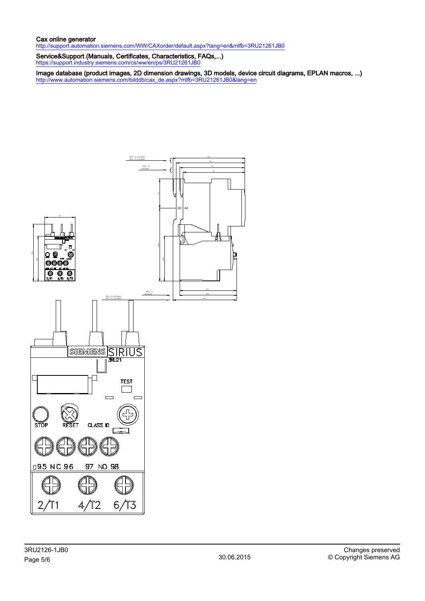### Cax online generator

<http://support.automation.siemens.com/WW/CAXorder/default.aspx?lang=en&mlfb=3RU21261JB0>

Service&Support (Manuals, Certificates, Characteristics, FAQs,...) <https://support.industry.siemens.com/cs/ww/en/ps/3RU21261JB0>

Image database (product images, 2D dimension drawings, 3D models, device circuit diagrams, EPLAN macros, ...) [http://www.automation.siemens.com/bilddb/cax\\_de.aspx?mlfb=3RU21261JB0&lang=en](http://www.automation.siemens.com/bilddb/cax_de.aspx?mlfb=3RU21261JB0&lang=en)